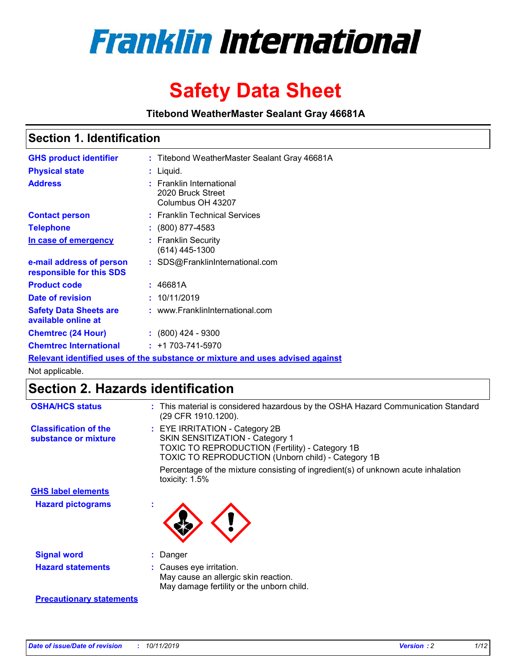

# **Safety Data Sheet**

**Titebond WeatherMaster Sealant Gray 46681A**

### **Section 1. Identification**

| <b>GHS product identifier</b>                        | : Titebond WeatherMaster Sealant Gray 46681A                                  |
|------------------------------------------------------|-------------------------------------------------------------------------------|
| <b>Physical state</b>                                | : Liquid.                                                                     |
| <b>Address</b>                                       | : Franklin International<br>2020 Bruck Street<br>Columbus OH 43207            |
| <b>Contact person</b>                                | : Franklin Technical Services                                                 |
| <b>Telephone</b>                                     | $\colon$ (800) 877-4583                                                       |
| In case of emergency                                 | : Franklin Security<br>(614) 445-1300                                         |
| e-mail address of person<br>responsible for this SDS | : SDS@FranklinInternational.com                                               |
| <b>Product code</b>                                  | : 46681A                                                                      |
| Date of revision                                     | : 10/11/2019                                                                  |
| <b>Safety Data Sheets are</b><br>available online at | : www.FranklinInternational.com                                               |
| <b>Chemtrec (24 Hour)</b>                            | $: (800)$ 424 - 9300                                                          |
| <b>Chemtrec International</b>                        | $: +1703 - 741 - 5970$                                                        |
|                                                      | Relevant identified uses of the substance or mixture and uses advised against |

Not applicable.

## **Section 2. Hazards identification**

| <b>OSHA/HCS status</b>                               | : This material is considered hazardous by the OSHA Hazard Communication Standard<br>(29 CFR 1910.1200).                                                                          |
|------------------------------------------------------|-----------------------------------------------------------------------------------------------------------------------------------------------------------------------------------|
| <b>Classification of the</b><br>substance or mixture | : EYE IRRITATION - Category 2B<br>SKIN SENSITIZATION - Category 1<br><b>TOXIC TO REPRODUCTION (Fertility) - Category 1B</b><br>TOXIC TO REPRODUCTION (Unborn child) - Category 1B |
|                                                      | Percentage of the mixture consisting of ingredient(s) of unknown acute inhalation<br>toxicity: $1.5\%$                                                                            |
| <b>GHS label elements</b>                            |                                                                                                                                                                                   |
| <b>Hazard pictograms</b>                             |                                                                                                                                                                                   |
| <b>Signal word</b>                                   | : Danger                                                                                                                                                                          |
| <b>Hazard statements</b>                             | : Causes eye irritation.<br>May cause an allergic skin reaction.<br>May damage fertility or the unborn child.                                                                     |
| <b>Precautionary statements</b>                      |                                                                                                                                                                                   |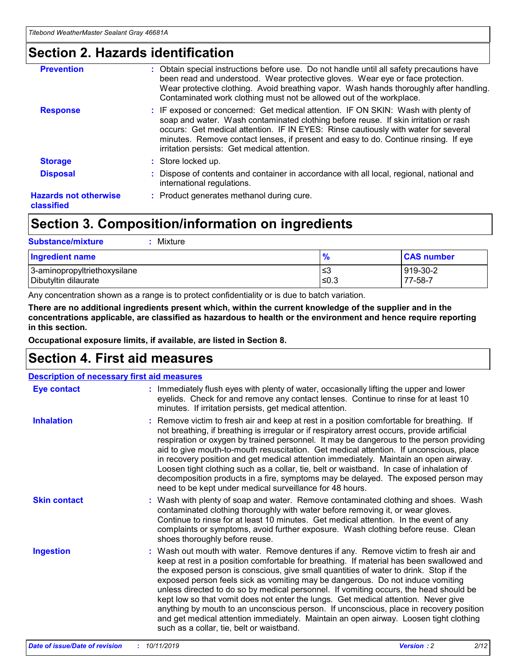### **Section 2. Hazards identification**

| <b>Prevention</b>                          | : Obtain special instructions before use. Do not handle until all safety precautions have<br>been read and understood. Wear protective gloves. Wear eye or face protection.<br>Wear protective clothing. Avoid breathing vapor. Wash hands thoroughly after handling.<br>Contaminated work clothing must not be allowed out of the workplace.                                                        |
|--------------------------------------------|------------------------------------------------------------------------------------------------------------------------------------------------------------------------------------------------------------------------------------------------------------------------------------------------------------------------------------------------------------------------------------------------------|
| <b>Response</b>                            | : IF exposed or concerned: Get medical attention. IF ON SKIN: Wash with plenty of<br>soap and water. Wash contaminated clothing before reuse. If skin irritation or rash<br>occurs: Get medical attention. IF IN EYES: Rinse cautiously with water for several<br>minutes. Remove contact lenses, if present and easy to do. Continue rinsing. If eye<br>irritation persists: Get medical attention. |
| <b>Storage</b>                             | : Store locked up.                                                                                                                                                                                                                                                                                                                                                                                   |
| <b>Disposal</b>                            | : Dispose of contents and container in accordance with all local, regional, national and<br>international regulations.                                                                                                                                                                                                                                                                               |
| <b>Hazards not otherwise</b><br>classified | : Product generates methanol during cure.                                                                                                                                                                                                                                                                                                                                                            |
|                                            |                                                                                                                                                                                                                                                                                                                                                                                                      |

### **Section 3. Composition/information on ingredients**

| <b>Substance/mixture</b><br>Mixture                  |               |                     |
|------------------------------------------------------|---------------|---------------------|
| <b>Ingredient name</b>                               | $\frac{9}{6}$ | <b>CAS number</b>   |
| 3-aminopropyltriethoxysilane<br>Dibutyltin dilaurate | ≤3<br>$≤0.3$  | 919-30-2<br>77-58-7 |

Any concentration shown as a range is to protect confidentiality or is due to batch variation.

**There are no additional ingredients present which, within the current knowledge of the supplier and in the concentrations applicable, are classified as hazardous to health or the environment and hence require reporting in this section.**

**Occupational exposure limits, if available, are listed in Section 8.**

### **Section 4. First aid measures**

| <b>Description of necessary first aid measures</b> |                                                                                                                                                                                                                                                                                                                                                                                                                                                                                                                                                                                                                                                                                                                                                                           |  |  |  |
|----------------------------------------------------|---------------------------------------------------------------------------------------------------------------------------------------------------------------------------------------------------------------------------------------------------------------------------------------------------------------------------------------------------------------------------------------------------------------------------------------------------------------------------------------------------------------------------------------------------------------------------------------------------------------------------------------------------------------------------------------------------------------------------------------------------------------------------|--|--|--|
| <b>Eye contact</b>                                 | : Immediately flush eyes with plenty of water, occasionally lifting the upper and lower<br>eyelids. Check for and remove any contact lenses. Continue to rinse for at least 10<br>minutes. If irritation persists, get medical attention.                                                                                                                                                                                                                                                                                                                                                                                                                                                                                                                                 |  |  |  |
| <b>Inhalation</b>                                  | : Remove victim to fresh air and keep at rest in a position comfortable for breathing. If<br>not breathing, if breathing is irregular or if respiratory arrest occurs, provide artificial<br>respiration or oxygen by trained personnel. It may be dangerous to the person providing<br>aid to give mouth-to-mouth resuscitation. Get medical attention. If unconscious, place<br>in recovery position and get medical attention immediately. Maintain an open airway.<br>Loosen tight clothing such as a collar, tie, belt or waistband. In case of inhalation of<br>decomposition products in a fire, symptoms may be delayed. The exposed person may<br>need to be kept under medical surveillance for 48 hours.                                                       |  |  |  |
| <b>Skin contact</b>                                | : Wash with plenty of soap and water. Remove contaminated clothing and shoes. Wash<br>contaminated clothing thoroughly with water before removing it, or wear gloves.<br>Continue to rinse for at least 10 minutes. Get medical attention. In the event of any<br>complaints or symptoms, avoid further exposure. Wash clothing before reuse. Clean<br>shoes thoroughly before reuse.                                                                                                                                                                                                                                                                                                                                                                                     |  |  |  |
| <b>Ingestion</b>                                   | : Wash out mouth with water. Remove dentures if any. Remove victim to fresh air and<br>keep at rest in a position comfortable for breathing. If material has been swallowed and<br>the exposed person is conscious, give small quantities of water to drink. Stop if the<br>exposed person feels sick as vomiting may be dangerous. Do not induce vomiting<br>unless directed to do so by medical personnel. If vomiting occurs, the head should be<br>kept low so that vomit does not enter the lungs. Get medical attention. Never give<br>anything by mouth to an unconscious person. If unconscious, place in recovery position<br>and get medical attention immediately. Maintain an open airway. Loosen tight clothing<br>such as a collar, tie, belt or waistband. |  |  |  |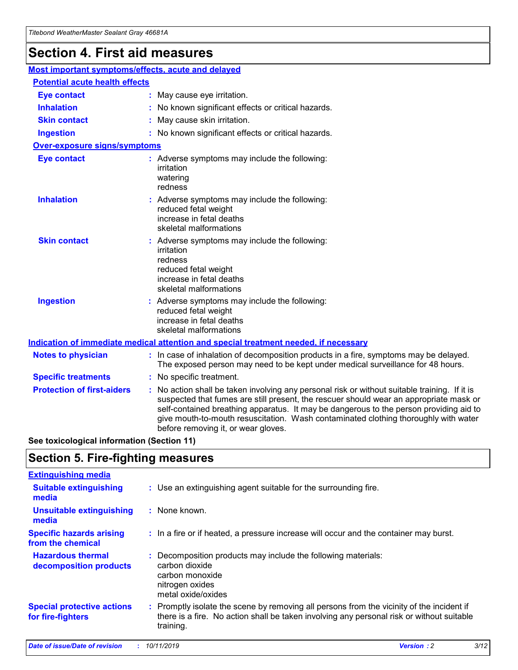## **Section 4. First aid measures**

| Most important symptoms/effects, acute and delayed |                                       |                                                                                                                                                                                                                                                                                                                                                                                                                 |  |  |  |
|----------------------------------------------------|---------------------------------------|-----------------------------------------------------------------------------------------------------------------------------------------------------------------------------------------------------------------------------------------------------------------------------------------------------------------------------------------------------------------------------------------------------------------|--|--|--|
|                                                    | <b>Potential acute health effects</b> |                                                                                                                                                                                                                                                                                                                                                                                                                 |  |  |  |
| <b>Eye contact</b>                                 |                                       | : May cause eye irritation.                                                                                                                                                                                                                                                                                                                                                                                     |  |  |  |
| <b>Inhalation</b>                                  |                                       | : No known significant effects or critical hazards.                                                                                                                                                                                                                                                                                                                                                             |  |  |  |
| <b>Skin contact</b>                                |                                       | : May cause skin irritation.                                                                                                                                                                                                                                                                                                                                                                                    |  |  |  |
| <b>Ingestion</b>                                   |                                       | : No known significant effects or critical hazards.                                                                                                                                                                                                                                                                                                                                                             |  |  |  |
| Over-exposure signs/symptoms                       |                                       |                                                                                                                                                                                                                                                                                                                                                                                                                 |  |  |  |
| <b>Eye contact</b>                                 |                                       | : Adverse symptoms may include the following:<br>irritation<br>watering<br>redness                                                                                                                                                                                                                                                                                                                              |  |  |  |
| <b>Inhalation</b>                                  |                                       | : Adverse symptoms may include the following:<br>reduced fetal weight<br>increase in fetal deaths<br>skeletal malformations                                                                                                                                                                                                                                                                                     |  |  |  |
| <b>Skin contact</b>                                |                                       | : Adverse symptoms may include the following:<br>irritation<br>redness<br>reduced fetal weight<br>increase in fetal deaths<br>skeletal malformations                                                                                                                                                                                                                                                            |  |  |  |
| <b>Ingestion</b>                                   |                                       | : Adverse symptoms may include the following:<br>reduced fetal weight<br>increase in fetal deaths<br>skeletal malformations                                                                                                                                                                                                                                                                                     |  |  |  |
|                                                    |                                       | <b>Indication of immediate medical attention and special treatment needed, if necessary</b>                                                                                                                                                                                                                                                                                                                     |  |  |  |
| <b>Notes to physician</b>                          |                                       | : In case of inhalation of decomposition products in a fire, symptoms may be delayed.<br>The exposed person may need to be kept under medical surveillance for 48 hours.                                                                                                                                                                                                                                        |  |  |  |
| <b>Specific treatments</b>                         |                                       | : No specific treatment.                                                                                                                                                                                                                                                                                                                                                                                        |  |  |  |
| <b>Protection of first-aiders</b>                  |                                       | : No action shall be taken involving any personal risk or without suitable training. If it is<br>suspected that fumes are still present, the rescuer should wear an appropriate mask or<br>self-contained breathing apparatus. It may be dangerous to the person providing aid to<br>give mouth-to-mouth resuscitation. Wash contaminated clothing thoroughly with water<br>before removing it, or wear gloves. |  |  |  |

**See toxicological information (Section 11)**

### **Section 5. Fire-fighting measures**

| <b>Extinguishing media</b>                             |                                                                                                                                                                                                     |
|--------------------------------------------------------|-----------------------------------------------------------------------------------------------------------------------------------------------------------------------------------------------------|
| <b>Suitable extinguishing</b><br>media                 | : Use an extinguishing agent suitable for the surrounding fire.                                                                                                                                     |
| <b>Unsuitable extinguishing</b><br>media               | : None known.                                                                                                                                                                                       |
| <b>Specific hazards arising</b><br>from the chemical   | : In a fire or if heated, a pressure increase will occur and the container may burst.                                                                                                               |
| <b>Hazardous thermal</b><br>decomposition products     | : Decomposition products may include the following materials:<br>carbon dioxide<br>carbon monoxide<br>nitrogen oxides<br>metal oxide/oxides                                                         |
| <b>Special protective actions</b><br>for fire-fighters | : Promptly isolate the scene by removing all persons from the vicinity of the incident if<br>there is a fire. No action shall be taken involving any personal risk or without suitable<br>training. |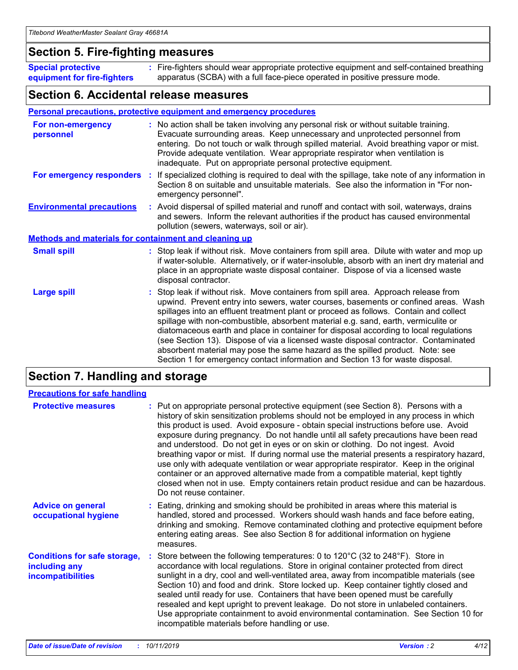### **Section 5. Fire-fighting measures**

**Special protective equipment for fire-fighters** Fire-fighters should wear appropriate protective equipment and self-contained breathing **:** apparatus (SCBA) with a full face-piece operated in positive pressure mode.

### **Section 6. Accidental release measures**

#### **Personal precautions, protective equipment and emergency procedures**

| For non-emergency<br>personnel                               | : No action shall be taken involving any personal risk or without suitable training.<br>Evacuate surrounding areas. Keep unnecessary and unprotected personnel from<br>entering. Do not touch or walk through spilled material. Avoid breathing vapor or mist.<br>Provide adequate ventilation. Wear appropriate respirator when ventilation is<br>inadequate. Put on appropriate personal protective equipment.                                                                                                                                                                                                                                                                                             |
|--------------------------------------------------------------|--------------------------------------------------------------------------------------------------------------------------------------------------------------------------------------------------------------------------------------------------------------------------------------------------------------------------------------------------------------------------------------------------------------------------------------------------------------------------------------------------------------------------------------------------------------------------------------------------------------------------------------------------------------------------------------------------------------|
|                                                              | For emergency responders : If specialized clothing is required to deal with the spillage, take note of any information in<br>Section 8 on suitable and unsuitable materials. See also the information in "For non-<br>emergency personnel".                                                                                                                                                                                                                                                                                                                                                                                                                                                                  |
| <b>Environmental precautions</b>                             | : Avoid dispersal of spilled material and runoff and contact with soil, waterways, drains<br>and sewers. Inform the relevant authorities if the product has caused environmental<br>pollution (sewers, waterways, soil or air).                                                                                                                                                                                                                                                                                                                                                                                                                                                                              |
| <b>Methods and materials for containment and cleaning up</b> |                                                                                                                                                                                                                                                                                                                                                                                                                                                                                                                                                                                                                                                                                                              |
| <b>Small spill</b>                                           | : Stop leak if without risk. Move containers from spill area. Dilute with water and mop up<br>if water-soluble. Alternatively, or if water-insoluble, absorb with an inert dry material and<br>place in an appropriate waste disposal container. Dispose of via a licensed waste<br>disposal contractor.                                                                                                                                                                                                                                                                                                                                                                                                     |
| <b>Large spill</b>                                           | : Stop leak if without risk. Move containers from spill area. Approach release from<br>upwind. Prevent entry into sewers, water courses, basements or confined areas. Wash<br>spillages into an effluent treatment plant or proceed as follows. Contain and collect<br>spillage with non-combustible, absorbent material e.g. sand, earth, vermiculite or<br>diatomaceous earth and place in container for disposal according to local regulations<br>(see Section 13). Dispose of via a licensed waste disposal contractor. Contaminated<br>absorbent material may pose the same hazard as the spilled product. Note: see<br>Section 1 for emergency contact information and Section 13 for waste disposal. |

### **Section 7. Handling and storage**

| <b>Precautions for safe handling</b>                                             |                                                                                                                                                                                                                                                                                                                                                                                                                                                                                                                                                                                                                                                                                                                                                                                                                                                  |
|----------------------------------------------------------------------------------|--------------------------------------------------------------------------------------------------------------------------------------------------------------------------------------------------------------------------------------------------------------------------------------------------------------------------------------------------------------------------------------------------------------------------------------------------------------------------------------------------------------------------------------------------------------------------------------------------------------------------------------------------------------------------------------------------------------------------------------------------------------------------------------------------------------------------------------------------|
| <b>Protective measures</b>                                                       | : Put on appropriate personal protective equipment (see Section 8). Persons with a<br>history of skin sensitization problems should not be employed in any process in which<br>this product is used. Avoid exposure - obtain special instructions before use. Avoid<br>exposure during pregnancy. Do not handle until all safety precautions have been read<br>and understood. Do not get in eyes or on skin or clothing. Do not ingest. Avoid<br>breathing vapor or mist. If during normal use the material presents a respiratory hazard,<br>use only with adequate ventilation or wear appropriate respirator. Keep in the original<br>container or an approved alternative made from a compatible material, kept tightly<br>closed when not in use. Empty containers retain product residue and can be hazardous.<br>Do not reuse container. |
| <b>Advice on general</b><br>occupational hygiene                                 | : Eating, drinking and smoking should be prohibited in areas where this material is<br>handled, stored and processed. Workers should wash hands and face before eating,<br>drinking and smoking. Remove contaminated clothing and protective equipment before<br>entering eating areas. See also Section 8 for additional information on hygiene<br>measures.                                                                                                                                                                                                                                                                                                                                                                                                                                                                                    |
| <b>Conditions for safe storage,</b><br>including any<br><b>incompatibilities</b> | Store between the following temperatures: 0 to 120°C (32 to 248°F). Store in<br>accordance with local regulations. Store in original container protected from direct<br>sunlight in a dry, cool and well-ventilated area, away from incompatible materials (see<br>Section 10) and food and drink. Store locked up. Keep container tightly closed and<br>sealed until ready for use. Containers that have been opened must be carefully<br>resealed and kept upright to prevent leakage. Do not store in unlabeled containers.<br>Use appropriate containment to avoid environmental contamination. See Section 10 for<br>incompatible materials before handling or use.                                                                                                                                                                         |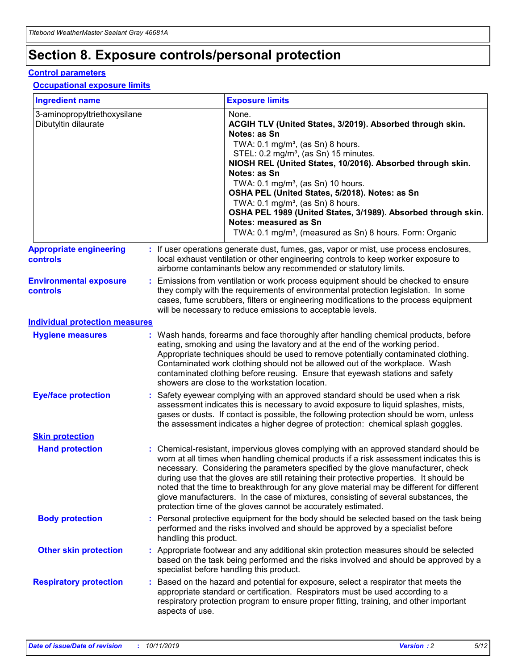## **Section 8. Exposure controls/personal protection**

#### **Control parameters**

#### **Occupational exposure limits**

| <b>Ingredient name</b>                               |    |                        | <b>Exposure limits</b>                                                                                                                                                                                                                                                                                                                                                                                                                                                                                                                                                                                                 |
|------------------------------------------------------|----|------------------------|------------------------------------------------------------------------------------------------------------------------------------------------------------------------------------------------------------------------------------------------------------------------------------------------------------------------------------------------------------------------------------------------------------------------------------------------------------------------------------------------------------------------------------------------------------------------------------------------------------------------|
| 3-aminopropyltriethoxysilane<br>Dibutyltin dilaurate |    |                        | None.<br>ACGIH TLV (United States, 3/2019). Absorbed through skin.<br>Notes: as Sn<br>TWA: $0.1 \text{ mg/m}^3$ , (as Sn) 8 hours.<br>STEL: 0.2 mg/m <sup>3</sup> , (as Sn) 15 minutes.<br>NIOSH REL (United States, 10/2016). Absorbed through skin.<br>Notes: as Sn<br>TWA: 0.1 mg/m <sup>3</sup> , (as Sn) 10 hours.<br>OSHA PEL (United States, 5/2018). Notes: as Sn<br>TWA: $0.1 \text{ mg/m}^3$ , (as Sn) 8 hours.<br>OSHA PEL 1989 (United States, 3/1989). Absorbed through skin.<br>Notes: measured as Sn<br>TWA: 0.1 mg/m <sup>3</sup> , (measured as Sn) 8 hours. Form: Organic                            |
| <b>Appropriate engineering</b><br>controls           |    |                        | : If user operations generate dust, fumes, gas, vapor or mist, use process enclosures,<br>local exhaust ventilation or other engineering controls to keep worker exposure to<br>airborne contaminants below any recommended or statutory limits.                                                                                                                                                                                                                                                                                                                                                                       |
| <b>Environmental exposure</b><br>controls            |    |                        | Emissions from ventilation or work process equipment should be checked to ensure<br>they comply with the requirements of environmental protection legislation. In some<br>cases, fume scrubbers, filters or engineering modifications to the process equipment<br>will be necessary to reduce emissions to acceptable levels.                                                                                                                                                                                                                                                                                          |
| <b>Individual protection measures</b>                |    |                        |                                                                                                                                                                                                                                                                                                                                                                                                                                                                                                                                                                                                                        |
| <b>Hygiene measures</b>                              |    |                        | : Wash hands, forearms and face thoroughly after handling chemical products, before<br>eating, smoking and using the lavatory and at the end of the working period.<br>Appropriate techniques should be used to remove potentially contaminated clothing.<br>Contaminated work clothing should not be allowed out of the workplace. Wash<br>contaminated clothing before reusing. Ensure that eyewash stations and safety<br>showers are close to the workstation location.                                                                                                                                            |
| <b>Eye/face protection</b>                           |    |                        | : Safety eyewear complying with an approved standard should be used when a risk<br>assessment indicates this is necessary to avoid exposure to liquid splashes, mists,<br>gases or dusts. If contact is possible, the following protection should be worn, unless<br>the assessment indicates a higher degree of protection: chemical splash goggles.                                                                                                                                                                                                                                                                  |
| <b>Skin protection</b>                               |    |                        |                                                                                                                                                                                                                                                                                                                                                                                                                                                                                                                                                                                                                        |
| <b>Hand protection</b>                               |    |                        | : Chemical-resistant, impervious gloves complying with an approved standard should be<br>worn at all times when handling chemical products if a risk assessment indicates this is<br>necessary. Considering the parameters specified by the glove manufacturer, check<br>during use that the gloves are still retaining their protective properties. It should be<br>noted that the time to breakthrough for any glove material may be different for different<br>glove manufacturers. In the case of mixtures, consisting of several substances, the<br>protection time of the gloves cannot be accurately estimated. |
| <b>Body protection</b>                               |    | handling this product. | Personal protective equipment for the body should be selected based on the task being<br>performed and the risks involved and should be approved by a specialist before                                                                                                                                                                                                                                                                                                                                                                                                                                                |
| <b>Other skin protection</b>                         |    |                        | : Appropriate footwear and any additional skin protection measures should be selected<br>based on the task being performed and the risks involved and should be approved by a<br>specialist before handling this product.                                                                                                                                                                                                                                                                                                                                                                                              |
| <b>Respiratory protection</b>                        | ÷. | aspects of use.        | Based on the hazard and potential for exposure, select a respirator that meets the<br>appropriate standard or certification. Respirators must be used according to a<br>respiratory protection program to ensure proper fitting, training, and other important                                                                                                                                                                                                                                                                                                                                                         |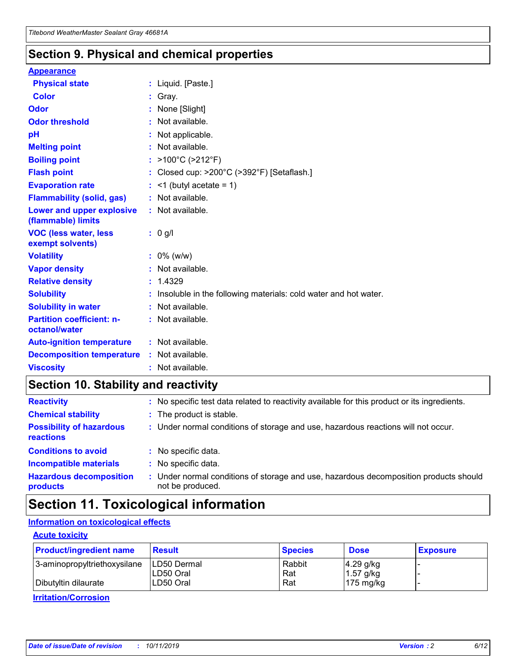### **Section 9. Physical and chemical properties**

#### **Appearance**

| <b>Physical state</b>                             | : Liquid. [Paste.]                                                |
|---------------------------------------------------|-------------------------------------------------------------------|
| Color                                             | Gray.                                                             |
| Odor                                              | None [Slight]                                                     |
| <b>Odor threshold</b>                             | : Not available.                                                  |
| рH                                                | : Not applicable.                                                 |
| <b>Melting point</b>                              | : Not available.                                                  |
| <b>Boiling point</b>                              | : $>100^{\circ}$ C ( $>212^{\circ}$ F)                            |
| <b>Flash point</b>                                | : Closed cup: $>200^{\circ}$ C ( $>392^{\circ}$ F) [Setaflash.]   |
| <b>Evaporation rate</b>                           | $:$ <1 (butyl acetate = 1)                                        |
| <b>Flammability (solid, gas)</b>                  | : Not available.                                                  |
| Lower and upper explosive<br>(flammable) limits   | : Not available.                                                  |
| <b>VOC (less water, less</b><br>exempt solvents)  | $: 0$ g/l                                                         |
| <b>Volatility</b>                                 | $: 0\%$ (w/w)                                                     |
| <b>Vapor density</b>                              | : Not available.                                                  |
| <b>Relative density</b>                           | : 1.4329                                                          |
| <b>Solubility</b>                                 | : Insoluble in the following materials: cold water and hot water. |
| <b>Solubility in water</b>                        | : Not available.                                                  |
| <b>Partition coefficient: n-</b><br>octanol/water | : Not available.                                                  |
| <b>Auto-ignition temperature</b>                  | $:$ Not available.                                                |
| <b>Decomposition temperature</b>                  | : Not available.                                                  |
| <b>Viscosity</b>                                  | : Not available.                                                  |

### **Section 10. Stability and reactivity**

| <b>Reactivity</b>                            |    | : No specific test data related to reactivity available for this product or its ingredients.            |
|----------------------------------------------|----|---------------------------------------------------------------------------------------------------------|
| <b>Chemical stability</b>                    |    | : The product is stable.                                                                                |
| <b>Possibility of hazardous</b><br>reactions |    | : Under normal conditions of storage and use, hazardous reactions will not occur.                       |
| <b>Conditions to avoid</b>                   |    | : No specific data.                                                                                     |
| <b>Incompatible materials</b>                | ٠. | No specific data.                                                                                       |
| <b>Hazardous decomposition</b><br>products   | ÷. | Under normal conditions of storage and use, hazardous decomposition products should<br>not be produced. |

### **Section 11. Toxicological information**

#### **Information on toxicological effects**

#### **Acute toxicity**

| <b>Product/ingredient name</b> | <b>Result</b>           | <b>Species</b> | <b>Dose</b>                | <b>Exposure</b> |
|--------------------------------|-------------------------|----------------|----------------------------|-----------------|
| 3-aminopropyltriethoxysilane   | <b>ILD50 Dermal</b>     | Rabbit         | 4.29 g/kg                  |                 |
| Dibutyltin dilaurate           | ILD50 Oral<br>LD50 Oral | Rat<br>Rat     | $1.57$ g/kg<br>175 $mg/kg$ |                 |
|                                |                         |                |                            |                 |

**Irritation/Corrosion**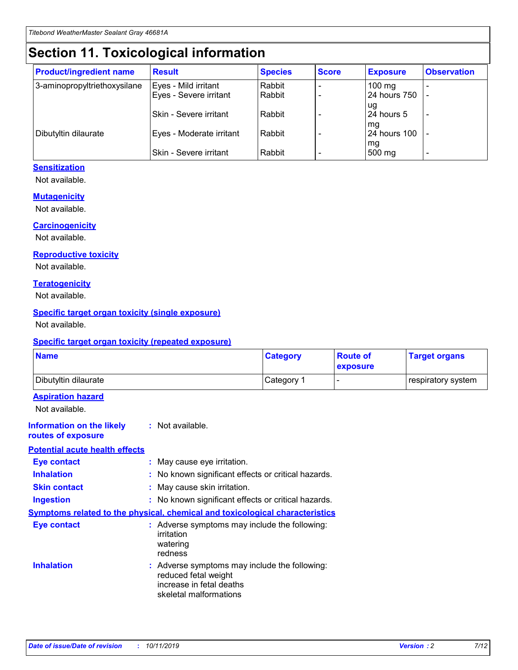## **Section 11. Toxicological information**

| <b>Product/ingredient name</b> | <b>Result</b>            | <b>Species</b> | <b>Score</b> | <b>Exposure</b>           | <b>Observation</b> |
|--------------------------------|--------------------------|----------------|--------------|---------------------------|--------------------|
| 3-aminopropyltriethoxysilane   | Eyes - Mild irritant     | Rabbit         |              | $100$ mg                  |                    |
|                                | Eyes - Severe irritant   | Rabbit         |              | 24 hours 750              |                    |
|                                |                          |                |              | ug                        |                    |
|                                | Skin - Severe irritant   | Rabbit         |              | 24 hours 5                | -                  |
| Dibutyltin dilaurate           | Eyes - Moderate irritant | Rabbit         |              | mq<br><b>24 hours 100</b> |                    |
|                                |                          |                |              | mg                        |                    |
|                                | Skin - Severe irritant   | Rabbit         |              | 500 mg                    |                    |

#### **Sensitization**

Not available.

#### **Mutagenicity**

Not available.

#### **Carcinogenicity**

Not available.

#### **Reproductive toxicity**

Not available.

#### **Teratogenicity**

Not available.

#### **Specific target organ toxicity (single exposure)**

Not available.

#### **Specific target organ toxicity (repeated exposure)**

| <b>Name</b>                                                                  |                                                                            | <b>Category</b>                                     | <b>Route of</b><br>exposure | <b>Target organs</b> |
|------------------------------------------------------------------------------|----------------------------------------------------------------------------|-----------------------------------------------------|-----------------------------|----------------------|
| Dibutyltin dilaurate                                                         |                                                                            | Category 1                                          | -                           | respiratory system   |
| <b>Aspiration hazard</b><br>Not available.                                   |                                                                            |                                                     |                             |                      |
| <b>Information on the likely</b><br>routes of exposure                       | : Not available.                                                           |                                                     |                             |                      |
| <b>Potential acute health effects</b>                                        |                                                                            |                                                     |                             |                      |
| <b>Eye contact</b>                                                           | : May cause eye irritation.                                                |                                                     |                             |                      |
| <b>Inhalation</b>                                                            |                                                                            | : No known significant effects or critical hazards. |                             |                      |
| <b>Skin contact</b>                                                          | : May cause skin irritation.                                               |                                                     |                             |                      |
| <b>Ingestion</b>                                                             |                                                                            | : No known significant effects or critical hazards. |                             |                      |
| Symptoms related to the physical, chemical and toxicological characteristics |                                                                            |                                                     |                             |                      |
| <b>Eye contact</b>                                                           | irritation<br>watering<br>redness                                          | : Adverse symptoms may include the following:       |                             |                      |
| <b>Inhalation</b>                                                            | reduced fetal weight<br>increase in fetal deaths<br>skeletal malformations | : Adverse symptoms may include the following:       |                             |                      |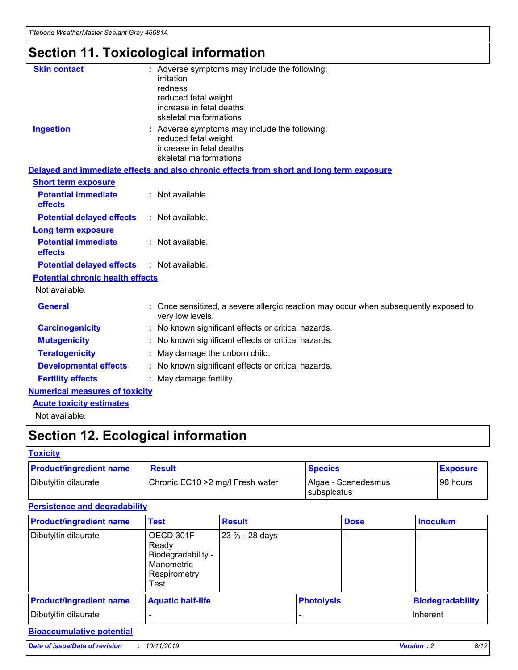## **Section 11. Toxicological information**

| <b>Skin contact</b>                     | : Adverse symptoms may include the following:<br>irritation<br>redness<br>reduced fetal weight<br>increase in fetal deaths<br>skeletal malformations |
|-----------------------------------------|------------------------------------------------------------------------------------------------------------------------------------------------------|
| <b>Ingestion</b>                        | : Adverse symptoms may include the following:<br>reduced fetal weight<br>increase in fetal deaths<br>skeletal malformations                          |
|                                         | Delayed and immediate effects and also chronic effects from short and long term exposure                                                             |
| <b>Short term exposure</b>              |                                                                                                                                                      |
| <b>Potential immediate</b><br>effects   | : Not available.                                                                                                                                     |
| <b>Potential delayed effects</b>        | : Not available.                                                                                                                                     |
| <b>Long term exposure</b>               |                                                                                                                                                      |
| <b>Potential immediate</b><br>effects   | : Not available.                                                                                                                                     |
| <b>Potential delayed effects</b>        | : Not available.                                                                                                                                     |
| <b>Potential chronic health effects</b> |                                                                                                                                                      |
| Not available.                          |                                                                                                                                                      |
| <b>General</b>                          | : Once sensitized, a severe allergic reaction may occur when subsequently exposed to<br>very low levels.                                             |
| <b>Carcinogenicity</b>                  | : No known significant effects or critical hazards.                                                                                                  |
| <b>Mutagenicity</b>                     | No known significant effects or critical hazards.                                                                                                    |
| <b>Teratogenicity</b>                   | May damage the unborn child.                                                                                                                         |
| <b>Developmental effects</b>            | No known significant effects or critical hazards.                                                                                                    |
| <b>Fertility effects</b>                | : May damage fertility.                                                                                                                              |
| <b>Numerical measures of toxicity</b>   |                                                                                                                                                      |
| <b>Acute toxicity estimates</b>         |                                                                                                                                                      |
|                                         |                                                                                                                                                      |

Not available.

## **Section 12. Ecological information**

#### **Toxicity**

| <b>Product/ingredient name</b> | <b>Result</b>                     | <b>Species</b>                       | <b>Exposure</b> |
|--------------------------------|-----------------------------------|--------------------------------------|-----------------|
| Dibutyltin dilaurate           | Chronic EC10 > 2 mg/l Fresh water | Algae - Scenedesmus<br>I subspicatus | l 96 hours i    |

#### **Persistence and degradability**

| <b>Product/ingredient name</b> | <b>Test</b>                                                                    | <b>Result</b>  |                   | <b>Dose</b> | <b>Inoculum</b>         |
|--------------------------------|--------------------------------------------------------------------------------|----------------|-------------------|-------------|-------------------------|
| Dibutyltin dilaurate           | OECD 301F<br>Ready<br>Biodegradability -<br>Manometric<br>Respirometry<br>Test | 23 % - 28 days |                   |             |                         |
| <b>Product/ingredient name</b> | <b>Aquatic half-life</b>                                                       |                | <b>Photolysis</b> |             | <b>Biodegradability</b> |
| Dibutyltin dilaurate           |                                                                                |                |                   |             | Inherent                |

#### **Bioaccumulative potential**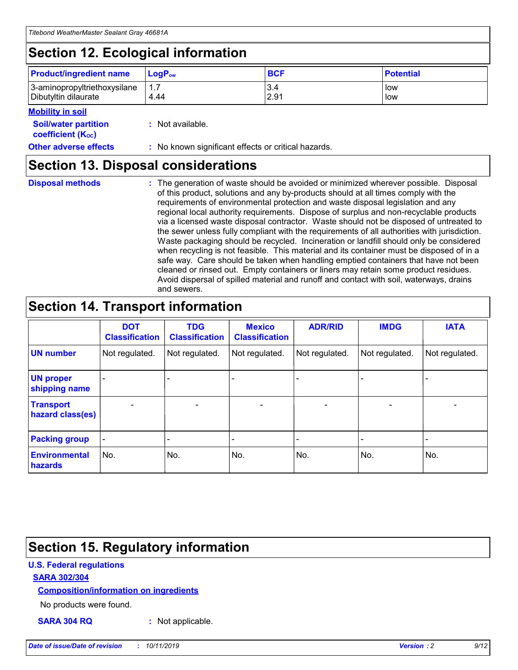## **Section 12. Ecological information**

| <b>Product/ingredient name</b> | $LoaPow$ | <b>BCF</b> | <b>Potential</b> |
|--------------------------------|----------|------------|------------------|
| 3-aminopropyltriethoxysilane   | 1.7      | 3.4        | low              |
| Dibutyltin dilaurate           | 4.44     | 2.91       | low              |

#### **Mobility in soil**

| <i></i>                                                       |                                                     |
|---------------------------------------------------------------|-----------------------------------------------------|
| <b>Soil/water partition</b><br>coefficient (K <sub>oc</sub> ) | : Not available.                                    |
| <b>Other adverse effects</b>                                  | : No known significant effects or critical hazards. |

### **Section 13. Disposal considerations**

**Disposal methods :**

The generation of waste should be avoided or minimized wherever possible. Disposal of this product, solutions and any by-products should at all times comply with the requirements of environmental protection and waste disposal legislation and any regional local authority requirements. Dispose of surplus and non-recyclable products via a licensed waste disposal contractor. Waste should not be disposed of untreated to the sewer unless fully compliant with the requirements of all authorities with jurisdiction. Waste packaging should be recycled. Incineration or landfill should only be considered when recycling is not feasible. This material and its container must be disposed of in a safe way. Care should be taken when handling emptied containers that have not been cleaned or rinsed out. Empty containers or liners may retain some product residues. Avoid dispersal of spilled material and runoff and contact with soil, waterways, drains and sewers.

## **Section 14. Transport information**

|                                      | <b>DOT</b><br><b>Classification</b> | <b>TDG</b><br><b>Classification</b> | <b>Mexico</b><br><b>Classification</b> | <b>ADR/RID</b>               | <b>IMDG</b>    | <b>IATA</b>              |
|--------------------------------------|-------------------------------------|-------------------------------------|----------------------------------------|------------------------------|----------------|--------------------------|
| <b>UN number</b>                     | Not regulated.                      | Not regulated.                      | Not regulated.                         | Not regulated.               | Not regulated. | Not regulated.           |
| <b>UN proper</b><br>shipping name    |                                     |                                     |                                        |                              |                |                          |
| <b>Transport</b><br>hazard class(es) | $\blacksquare$                      | $\overline{\phantom{0}}$            | $\overline{\phantom{a}}$               | $\qquad \qquad \blacksquare$ | $\blacksquare$ | $\overline{\phantom{0}}$ |
| <b>Packing group</b>                 | $\overline{\phantom{a}}$            | -                                   |                                        | -                            |                | -                        |
| <b>Environmental</b><br>hazards      | No.                                 | No.                                 | No.                                    | No.                          | No.            | No.                      |

## **Section 15. Regulatory information**

#### **U.S. Federal regulations**

#### **SARA 302/304**

#### **Composition/information on ingredients**

No products were found.

**SARA 304 RQ :** Not applicable.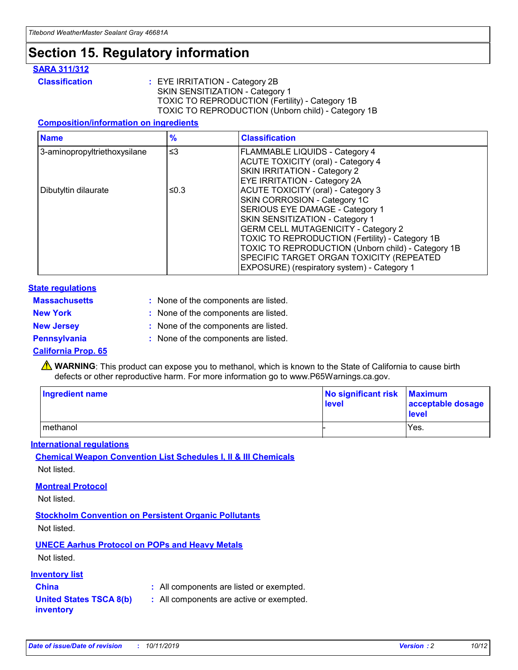## **Section 15. Regulatory information**

#### **SARA 311/312**

**Classification :** EYE IRRITATION - Category 2B SKIN SENSITIZATION - Category 1 TOXIC TO REPRODUCTION (Fertility) - Category 1B TOXIC TO REPRODUCTION (Unborn child) - Category 1B

#### **Composition/information on ingredients**

| <b>Name</b>                  | $\frac{9}{6}$ | <b>Classification</b>                                                                                            |
|------------------------------|---------------|------------------------------------------------------------------------------------------------------------------|
| 3-aminopropyltriethoxysilane | $\leq$ 3      | <b>FLAMMABLE LIQUIDS - Category 4</b><br><b>ACUTE TOXICITY (oral) - Category 4</b>                               |
|                              |               | SKIN IRRITATION - Category 2<br>EYE IRRITATION - Category 2A                                                     |
| Dibutyltin dilaurate         | ≤0.3          | ACUTE TOXICITY (oral) - Category 3<br>SKIN CORROSION - Category 1C                                               |
|                              |               | SERIOUS EYE DAMAGE - Category 1<br>SKIN SENSITIZATION - Category 1<br><b>GERM CELL MUTAGENICITY - Category 2</b> |
|                              |               | TOXIC TO REPRODUCTION (Fertility) - Category 1B<br>TOXIC TO REPRODUCTION (Unborn child) - Category 1B            |
|                              |               | SPECIFIC TARGET ORGAN TOXICITY (REPEATED<br>EXPOSURE) (respiratory system) - Category 1                          |

#### **State regulations**

| <b>Massachusetts</b> | : None of the components are listed. |
|----------------------|--------------------------------------|
| <b>New York</b>      | : None of the components are listed. |
| <b>New Jersey</b>    | : None of the components are listed. |
| <b>Pennsylvania</b>  | : None of the components are listed. |

#### **California Prop. 65**

**A** WARNING: This product can expose you to methanol, which is known to the State of California to cause birth defects or other reproductive harm. For more information go to www.P65Warnings.ca.gov.

| <b>Ingredient name</b> | No significant risk Maximum<br>level | acceptable dosage<br>level |
|------------------------|--------------------------------------|----------------------------|
| methanol               |                                      | Yes.                       |

#### **International regulations**

**Chemical Weapon Convention List Schedules I, II & III Chemicals** Not listed.

#### **Montreal Protocol**

Not listed.

**Stockholm Convention on Persistent Organic Pollutants**

Not listed.

#### **UNECE Aarhus Protocol on POPs and Heavy Metals**

Not listed.

#### **Inventory list**

### **China :** All components are listed or exempted.

**United States TSCA 8(b) inventory :** All components are active or exempted.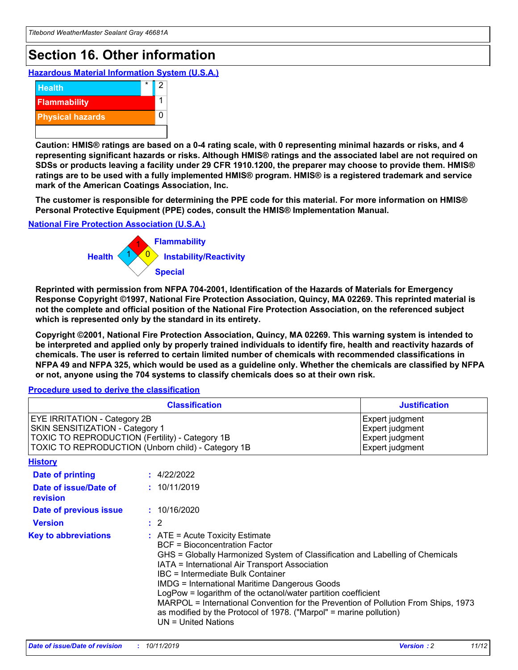## **Section 16. Other information**

**Hazardous Material Information System (U.S.A.)**



**Caution: HMIS® ratings are based on a 0-4 rating scale, with 0 representing minimal hazards or risks, and 4 representing significant hazards or risks. Although HMIS® ratings and the associated label are not required on SDSs or products leaving a facility under 29 CFR 1910.1200, the preparer may choose to provide them. HMIS® ratings are to be used with a fully implemented HMIS® program. HMIS® is a registered trademark and service mark of the American Coatings Association, Inc.**

**The customer is responsible for determining the PPE code for this material. For more information on HMIS® Personal Protective Equipment (PPE) codes, consult the HMIS® Implementation Manual.**

#### **National Fire Protection Association (U.S.A.)**



**Reprinted with permission from NFPA 704-2001, Identification of the Hazards of Materials for Emergency Response Copyright ©1997, National Fire Protection Association, Quincy, MA 02269. This reprinted material is not the complete and official position of the National Fire Protection Association, on the referenced subject which is represented only by the standard in its entirety.**

**Copyright ©2001, National Fire Protection Association, Quincy, MA 02269. This warning system is intended to be interpreted and applied only by properly trained individuals to identify fire, health and reactivity hazards of chemicals. The user is referred to certain limited number of chemicals with recommended classifications in NFPA 49 and NFPA 325, which would be used as a guideline only. Whether the chemicals are classified by NFPA or not, anyone using the 704 systems to classify chemicals does so at their own risk.**

#### **Procedure used to derive the classification**

| <b>Classification</b>                                                                                                                                                    |                                                                                                                                                                                                                                                                                                                                                                                                                                                                                                                                                               | <b>Justification</b>                                                     |
|--------------------------------------------------------------------------------------------------------------------------------------------------------------------------|---------------------------------------------------------------------------------------------------------------------------------------------------------------------------------------------------------------------------------------------------------------------------------------------------------------------------------------------------------------------------------------------------------------------------------------------------------------------------------------------------------------------------------------------------------------|--------------------------------------------------------------------------|
| EYE IRRITATION - Category 2B<br>SKIN SENSITIZATION - Category 1<br>TOXIC TO REPRODUCTION (Fertility) - Category 1B<br>TOXIC TO REPRODUCTION (Unborn child) - Category 1B |                                                                                                                                                                                                                                                                                                                                                                                                                                                                                                                                                               | Expert judgment<br>Expert judgment<br>Expert judgment<br>Expert judgment |
| <b>History</b>                                                                                                                                                           |                                                                                                                                                                                                                                                                                                                                                                                                                                                                                                                                                               |                                                                          |
| Date of printing                                                                                                                                                         | : 4/22/2022                                                                                                                                                                                                                                                                                                                                                                                                                                                                                                                                                   |                                                                          |
| Date of issue/Date of<br>revision                                                                                                                                        | : 10/11/2019                                                                                                                                                                                                                                                                                                                                                                                                                                                                                                                                                  |                                                                          |
| Date of previous issue                                                                                                                                                   | : 10/16/2020                                                                                                                                                                                                                                                                                                                                                                                                                                                                                                                                                  |                                                                          |
| <b>Version</b>                                                                                                                                                           | $\therefore$ 2                                                                                                                                                                                                                                                                                                                                                                                                                                                                                                                                                |                                                                          |
| <b>Key to abbreviations</b>                                                                                                                                              | $:$ ATE = Acute Toxicity Estimate<br><b>BCF</b> = Bioconcentration Factor<br>GHS = Globally Harmonized System of Classification and Labelling of Chemicals<br>IATA = International Air Transport Association<br>IBC = Intermediate Bulk Container<br><b>IMDG = International Maritime Dangerous Goods</b><br>LogPow = logarithm of the octanol/water partition coefficient<br>MARPOL = International Convention for the Prevention of Pollution From Ships, 1973<br>as modified by the Protocol of 1978. ("Marpol" = marine pollution)<br>UN = United Nations |                                                                          |